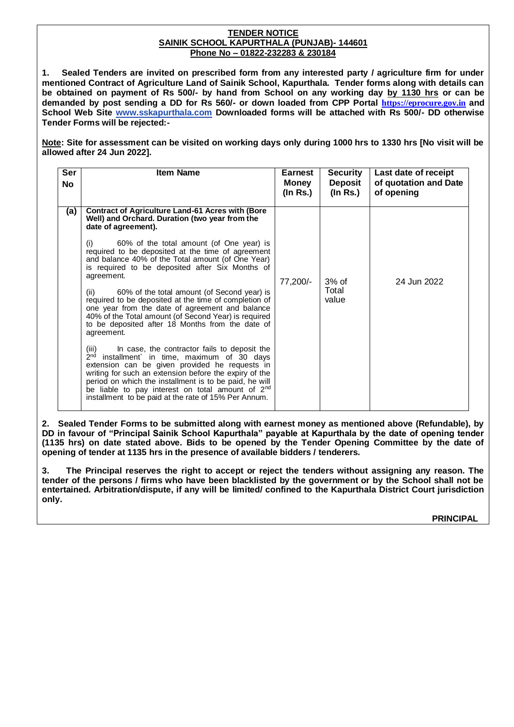#### **TENDER NOTICE SAINIK SCHOOL KAPURTHALA (PUNJAB)- 144601 Phone No – 01822-232283 & 230184**

**1. Sealed Tenders are invited on prescribed form from any interested party / agriculture firm for under mentioned Contract of Agriculture Land of Sainik School, Kapurthala. Tender forms along with details can be obtained on payment of Rs 500/- by hand from School on any working day by 1130 hrs or can be demanded by post sending a DD for Rs 560/- or down loaded from CPP Portal [https://eprocure.gov.in](https://eprocure.gov.in/) and School Web Site [www.sskapurthala.com](http://www.sskapurthala@yahoo.co) Downloaded forms will be attached with Rs 500/- DD otherwise Tender Forms will be rejected:-**

**Note: Site for assessment can be visited on working days only during 1000 hrs to 1330 hrs [No visit will be allowed after 24 Jun 2022].** 

| Ser<br><b>No</b> | <b>Item Name</b>                                                                                                                                                                                                                                                                                                                                                                                                   | <b>Earnest</b><br>Money<br>$($ ln Rs. $)$ | <b>Security</b><br><b>Deposit</b><br>$($ ln Rs. $)$ | Last date of receipt<br>of quotation and Date<br>of opening |
|------------------|--------------------------------------------------------------------------------------------------------------------------------------------------------------------------------------------------------------------------------------------------------------------------------------------------------------------------------------------------------------------------------------------------------------------|-------------------------------------------|-----------------------------------------------------|-------------------------------------------------------------|
| (a)              | <b>Contract of Agriculture Land-61 Acres with (Bore</b><br>Well) and Orchard. Duration (two year from the<br>date of agreement).                                                                                                                                                                                                                                                                                   |                                           |                                                     |                                                             |
|                  | 60% of the total amount (of One year) is<br>(i)<br>required to be deposited at the time of agreement<br>and balance 40% of the Total amount (of One Year)<br>is required to be deposited after Six Months of<br>agreement.                                                                                                                                                                                         | 77,200/-                                  | $3%$ of<br>Total<br>value                           | 24 Jun 2022                                                 |
|                  | 60% of the total amount (of Second year) is<br>(ii)<br>required to be deposited at the time of completion of<br>one year from the date of agreement and balance<br>40% of the Total amount (of Second Year) is required<br>to be deposited after 18 Months from the date of<br>agreement.                                                                                                                          |                                           |                                                     |                                                             |
|                  | In case, the contractor fails to deposit the<br>(iii)<br>2 <sup>nd</sup><br>installment' in time, maximum of 30 days<br>extension can be given provided he requests in<br>writing for such an extension before the expiry of the<br>period on which the installment is to be paid, he will<br>be liable to pay interest on total amount of 2 <sup>nd</sup><br>installment to be paid at the rate of 15% Per Annum. |                                           |                                                     |                                                             |

**2. Sealed Tender Forms to be submitted along with earnest money as mentioned above (Refundable), by DD in favour of "Principal Sainik School Kapurthala" payable at Kapurthala by the date of opening tender (1135 hrs) on date stated above. Bids to be opened by the Tender Opening Committee by the date of opening of tender at 1135 hrs in the presence of available bidders / tenderers.**

**3. The Principal reserves the right to accept or reject the tenders without assigning any reason. The tender of the persons / firms who have been blacklisted by the government or by the School shall not be entertained. Arbitration/dispute, if any will be limited/ confined to the Kapurthala District Court jurisdiction only.**

 **PRINCIPAL**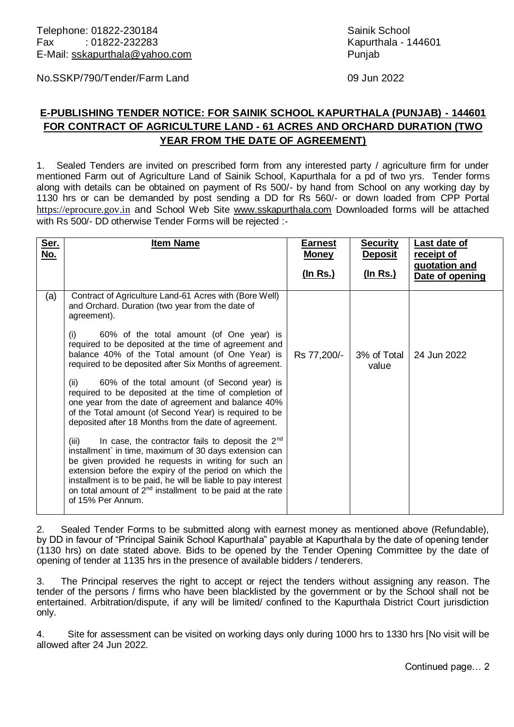No.SSKP/790/Tender/Farm Land 09 Jun 2022

# **E-PUBLISHING TENDER NOTICE: FOR SAINIK SCHOOL KAPURTHALA (PUNJAB) - 144601 FOR CONTRACT OF AGRICULTURE LAND - 61 ACRES AND ORCHARD DURATION (TWO YEAR FROM THE DATE OF AGREEMENT)**

1. Sealed Tenders are invited on prescribed form from any interested party / agriculture firm for under mentioned Farm out of Agriculture Land of Sainik School, Kapurthala for a pd of two yrs. Tender forms along with details can be obtained on payment of Rs 500/- by hand from School on any working day by 1130 hrs or can be demanded by post sending a DD for Rs 560/- or down loaded from CPP Portal [https://eprocure.gov.in](https://eprocure.gov.in/) and School Web Site [www.sskapurthala.com](http://www.sskapurthala@yahoo.co) Downloaded forms will be attached with Rs 500/- DD otherwise Tender Forms will be rejected :-

| Ser.<br>No. | <b>Item Name</b>                                                                                                                                                                                                                                                                                                                                                                               | <b>Earnest</b><br><b>Money</b> | <b>Security</b><br><b>Deposit</b> | Last date of<br>receipt of       |
|-------------|------------------------------------------------------------------------------------------------------------------------------------------------------------------------------------------------------------------------------------------------------------------------------------------------------------------------------------------------------------------------------------------------|--------------------------------|-----------------------------------|----------------------------------|
|             |                                                                                                                                                                                                                                                                                                                                                                                                | <u>(In Rs.)</u>                | <u>(In Rs.)</u>                   | quotation and<br>Date of opening |
| (a)         | Contract of Agriculture Land-61 Acres with (Bore Well)<br>and Orchard. Duration (two year from the date of<br>agreement).<br>60% of the total amount (of One year) is<br>(i)                                                                                                                                                                                                                   |                                |                                   |                                  |
|             | required to be deposited at the time of agreement and<br>balance 40% of the Total amount (of One Year) is<br>required to be deposited after Six Months of agreement.                                                                                                                                                                                                                           | Rs 77,200/-                    | 3% of Total<br>value              | 24 Jun 2022                      |
|             | 60% of the total amount (of Second year) is<br>(ii)<br>required to be deposited at the time of completion of<br>one year from the date of agreement and balance 40%<br>of the Total amount (of Second Year) is required to be<br>deposited after 18 Months from the date of agreement.                                                                                                         |                                |                                   |                                  |
|             | (iii)<br>In case, the contractor fails to deposit the $2nd$<br>installment` in time, maximum of 30 days extension can<br>be given provided he requests in writing for such an<br>extension before the expiry of the period on which the<br>installment is to be paid, he will be liable to pay interest<br>on total amount of $2^{nd}$ installment to be paid at the rate<br>of 15% Per Annum. |                                |                                   |                                  |
|             |                                                                                                                                                                                                                                                                                                                                                                                                |                                |                                   |                                  |

2. Sealed Tender Forms to be submitted along with earnest money as mentioned above (Refundable), by DD in favour of "Principal Sainik School Kapurthala" payable at Kapurthala by the date of opening tender (1130 hrs) on date stated above. Bids to be opened by the Tender Opening Committee by the date of opening of tender at 1135 hrs in the presence of available bidders / tenderers.

3. The Principal reserves the right to accept or reject the tenders without assigning any reason. The tender of the persons / firms who have been blacklisted by the government or by the School shall not be entertained. Arbitration/dispute, if any will be limited/ confined to the Kapurthala District Court jurisdiction only.

4. Site for assessment can be visited on working days only during 1000 hrs to 1330 hrs [No visit will be allowed after 24 Jun 2022.

Continued page… 2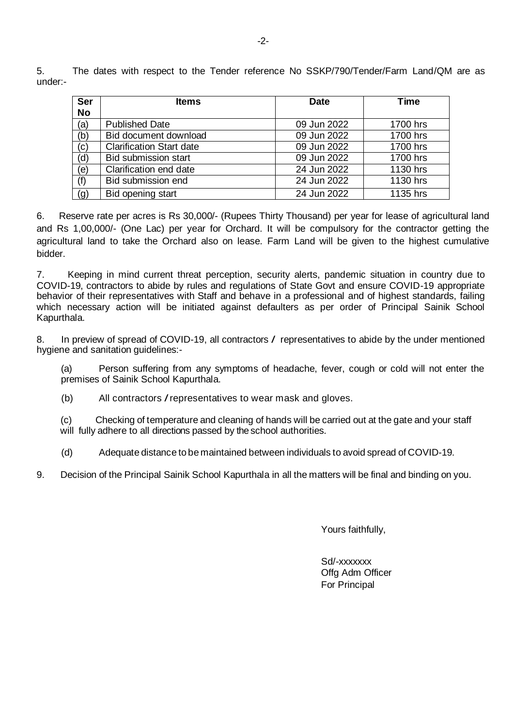5. The dates with respect to the Tender reference No SSKP/790/Tender/Farm Land/QM are as under:-

| <b>Ser</b><br><b>No</b> | <b>Items</b>                    | <b>Date</b> | <b>Time</b> |
|-------------------------|---------------------------------|-------------|-------------|
| (a)                     | <b>Published Date</b>           | 09 Jun 2022 | 1700 hrs    |
| (b)                     | Bid document download           | 09 Jun 2022 | 1700 hrs    |
| (c)                     | <b>Clarification Start date</b> | 09 Jun 2022 | 1700 hrs    |
| (d)                     | <b>Bid submission start</b>     | 09 Jun 2022 | 1700 hrs    |
| (e)                     | Clarification end date          | 24 Jun 2022 | 1130 hrs    |
| (f)                     | Bid submission end              | 24 Jun 2022 | 1130 hrs    |
| (g)                     | Bid opening start               | 24 Jun 2022 | 1135 hrs    |

6. Reserve rate per acres is Rs 30,000/- (Rupees Thirty Thousand) per year for lease of agricultural land and Rs 1,00,000/- (One Lac) per year for Orchard. It will be compulsory for the contractor getting the agricultural land to take the Orchard also on lease. Farm Land will be given to the highest cumulative bidder.

7. Keeping in mind current threat perception, security alerts, pandemic situation in country due to COVID-19, contractors to abide by rules and regulations of State Govt and ensure COVID-19 appropriate behavior of their representatives with Staff and behave in a professional and of highest standards, failing which necessary action will be initiated against defaulters as per order of Principal Sainik School Kapurthala.

8. In preview of spread of COVID-19, all contractors / representatives to abide by the under mentioned hygiene and sanitation guidelines:-

(a) Person suffering from any symptoms of headache, fever, cough or cold will not enter the premises of Sainik School Kapurthala.

(b) All contractors /representatives to wear mask and gloves.

 (c) Checking of temperature and cleaning of hands will be carried out at the gate and your staff will fully adhere to all directions passed by the school authorities.

(d) Adequate distance to be maintained between individuals to avoid spread of COVID-19.

9. Decision of the Principal Sainik School Kapurthala in all the matters will be final and binding on you.

Yours faithfully,

Sd/-xxxxxxx Offg Adm Officer For Principal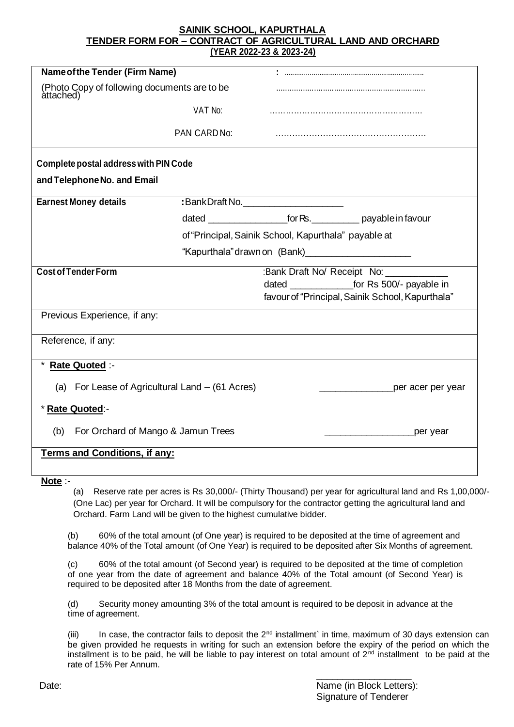**SAINIK SCHOOL, KAPURTHALA TENDER FORM FOR – CONTRACT OF AGRICULTURAL LAND AND ORCHARD (YEAR 2022-23 & 2023-24)**

| <b>Name of the Tender (Firm Name)</b>                     |              |                                                         |                                                                   |
|-----------------------------------------------------------|--------------|---------------------------------------------------------|-------------------------------------------------------------------|
| (Photo Copy of following documents are to be<br>attached) |              |                                                         |                                                                   |
|                                                           | VAT No:      |                                                         |                                                                   |
|                                                           | PAN CARD No: |                                                         |                                                                   |
| <b>Complete postal address with PIN Code</b>              |              |                                                         |                                                                   |
| and Telephone No. and Email                               |              |                                                         |                                                                   |
| <b>Earnest Money details</b>                              |              | :BankDraft No.                                          |                                                                   |
|                                                           |              |                                                         | dated ______________________for Rs. ___________ payable in favour |
|                                                           |              | of "Principal, Sainik School, Kapurthala" payable at    |                                                                   |
|                                                           |              | "Kapurthala" drawn on (Bank) __________________________ |                                                                   |
| <b>Cost of Tender Form</b>                                |              | :Bank Draft No/ Receipt No: _____                       |                                                                   |
|                                                           |              |                                                         |                                                                   |
|                                                           |              |                                                         | favour of "Principal, Sainik School, Kapurthala"                  |
| Previous Experience, if any:                              |              |                                                         |                                                                   |
| Reference, if any:                                        |              |                                                         |                                                                   |
| Rate Quoted :-                                            |              |                                                         |                                                                   |
| (a) For Lease of Agricultural Land – (61 Acres)           |              |                                                         | per acer per year                                                 |
| * Rate Quoted:-                                           |              |                                                         |                                                                   |
| For Orchard of Mango & Jamun Trees<br>(b)                 |              |                                                         | _per year                                                         |
| <b>Terms and Conditions, if any:</b>                      |              |                                                         |                                                                   |
| Note $:$                                                  |              |                                                         |                                                                   |

(a) Reserve rate per acres is Rs 30,000/- (Thirty Thousand) per year for agricultural land and Rs 1,00,000/- (One Lac) per year for Orchard. It will be compulsory for the contractor getting the agricultural land and Orchard. Farm Land will be given to the highest cumulative bidder.

(b) 60% of the total amount (of One year) is required to be deposited at the time of agreement and balance 40% of the Total amount (of One Year) is required to be deposited after Six Months of agreement.

(c) 60% of the total amount (of Second year) is required to be deposited at the time of completion of one year from the date of agreement and balance 40% of the Total amount (of Second Year) is required to be deposited after 18 Months from the date of agreement.

(d) Security money amounting 3% of the total amount is required to be deposit in advance at the time of agreement.

(iii) In case, the contractor fails to deposit the  $2^{nd}$  installment` in time, maximum of 30 days extension can be given provided he requests in writing for such an extension before the expiry of the period on which the installment is to be paid, he will be liable to pay interest on total amount of  $2^{nd}$  installment to be paid at the rate of 15% Per Annum.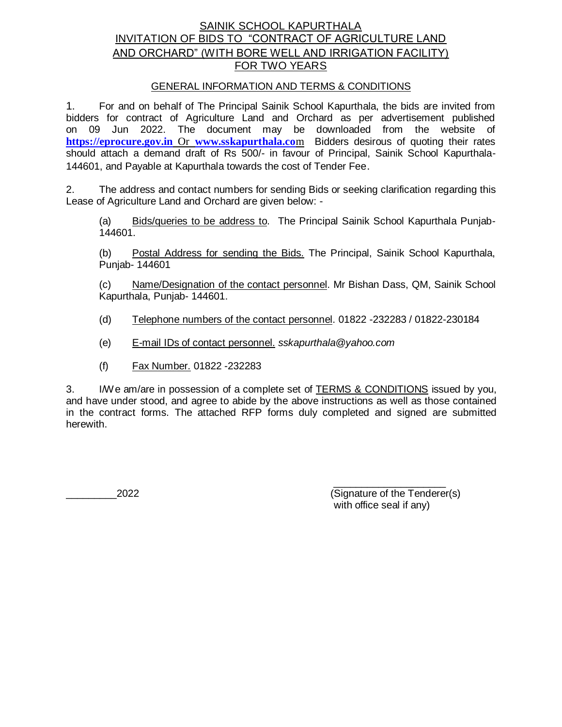## SAINIK SCHOOL KAPURTHALA INVITATION OF BIDS TO "CONTRACT OF AGRICULTURE LAND AND ORCHARD" (WITH BORE WELL AND IRRIGATION FACILITY) FOR TWO YEARS

#### GENERAL INFORMATION AND TERMS & CONDITIONS

1. For and on behalf of The Principal Sainik School Kapurthala, the bids are invited from bidders for contract of Agriculture Land and Orchard as per advertisement published on 09 Jun 2022. The document may be downloaded from the website of **[https://eprocure.gov.in](https://eprocure.gov.in/)** Or **[www.sskapurthala.co](http://www.sskapurthala.co/)**m Bidders desirous of quoting their rates should attach a demand draft of Rs 500/- in favour of Principal, Sainik School Kapurthala-144601, and Payable at Kapurthala towards the cost of Tender Fee.

2. The address and contact numbers for sending Bids or seeking clarification regarding this Lease of Agriculture Land and Orchard are given below: -

(a) Bids/queries to be address to. The Principal Sainik School Kapurthala Punjab-144601.

(b) Postal Address for sending the Bids. The Principal, Sainik School Kapurthala, Punjab- 144601

(c) Name/Designation of the contact personnel. Mr Bishan Dass, QM, Sainik School Kapurthala, Punjab- 144601.

- (d) Telephone numbers of the contact personnel. 01822 -232283 / 01822-230184
- (e) E-mail IDs of contact personnel. *sskapurthala@yahoo.com*
- (f) Fax Number. 01822 -232283

3. I/We am/are in possession of a complete set of TERMS & CONDITIONS issued by you, and have under stood, and agree to abide by the above instructions as well as those contained in the contract forms. The attached RFP forms duly completed and signed are submitted herewith.

\_\_\_\_\_\_\_\_\_2022 (Signature of the Tenderer(s) with office seal if any)

\_\_\_\_\_\_\_\_\_\_\_\_\_\_\_\_\_\_\_\_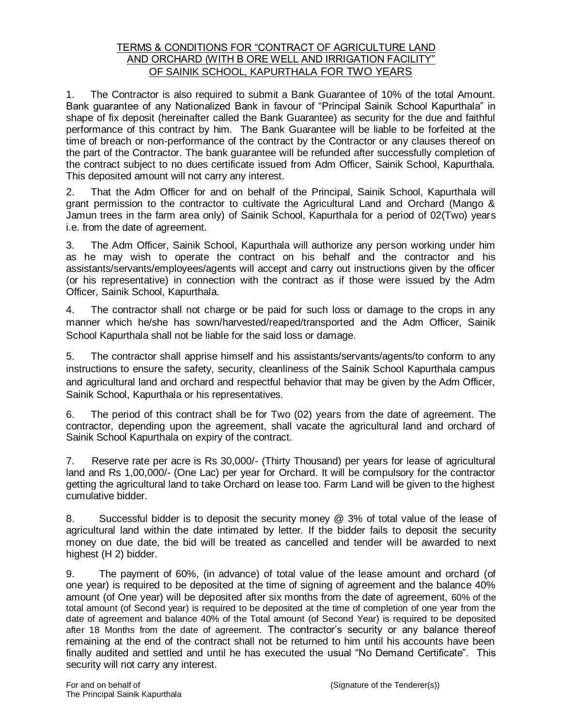### TERMS & CONDITIONS FOR "CONTRACT OF AGRICULTURE LAND AND ORCHARD (WITH B ORE WELL AND IRRIGATION FACILITY" OF SAINIK SCHOOL, KAPURTHALA FOR TWO YEARS

1. The Contractor is also required to submit a Bank Guarantee of 10% of the total Amount. Bank guarantee of any Nationalized Bank in favour of "Principal Sainik School Kapurthala" in shape of fix deposit (hereinafter called the Bank Guarantee) as security for the due and faithful performance of this contract by him. The Bank Guarantee will be liable to be forfeited at the time of breach or non-performance of the contract by the Contractor or any clauses thereof on the part of the Contractor. The bank guarantee will be refunded after successfully completion of the contract subject to no dues certificate issued from Adm Officer, Sainik School, Kapurthala. This deposited amount will not carry any interest.

2. That the Adm Officer for and on behalf of the Principal, Sainik School, Kapurthala will grant permission to the contractor to cultivate the Agricultural Land and Orchard (Mango & Jamun trees in the farm area only) of Sainik School, Kapurthala for a period of 02(Two) years i.e. from the date of agreement.

3. The Adm Officer, Sainik School, Kapurthala will authorize any person working under him as he may wish to operate the contract on his behalf and the contractor and his assistants/servants/employees/agents will accept and carry out instructions given by the officer (or his representative) in connection with the contract as if those were issued by the Adm Officer, Sainik School, Kapurthala.

4. The contractor shall not charge or be paid for such loss or damage to the crops in any manner which he/she has sown/harvested/reaped/transported and the Adm Officer, Sainik School Kapurthala shall not be liable for the said loss or damage.

5. The contractor shall apprise himself and his assistants/servants/agents/to conform to any instructions to ensure the safety, security, cleanliness of the Sainik School Kapurthala campus and agricultural land and orchard and respectful behavior that may be given by the Adm Officer, Sainik School, Kapurthala or his representatives.

6. The period of this contract shall be for Two (02) years from the date of agreement. The contractor, depending upon the agreement, shall vacate the agricultural land and orchard of Sainik School Kapurthala on expiry of the contract.

7. Reserve rate per acre is Rs 30,000/- (Thirty Thousand) per years for lease of agricultural land and Rs 1,00,000/- (One Lac) per year for Orchard. It will be compulsory for the contractor getting the agricultural land to take Orchard on lease too. Farm Land will be given to the highest cumulative bidder.

8. Successful bidder is to deposit the security money @ 3% of total value of the lease of agricultural land within the date intimated by letter. If the bidder fails to deposit the security money on due date, the bid will be treated as cancelled and tender will be awarded to next highest (H 2) bidder.

9. The payment of 60%, (in advance) of total value of the lease amount and orchard (of one year) is required to be deposited at the time of signing of agreement and the balance 40% amount (of One year) will be deposited after six months from the date of agreement, 60% of the total amount (of Second year) is required to be deposited at the time of completion of one year from the date of agreement and balance 40% of the Total amount (of Second Year) is required to be deposited after 18 Months from the date of agreement. The contractor's security or any balance thereof remaining at the end of the contract shall not be returned to him until his accounts have been finally audited and settled and until he has executed the usual "No Demand Certificate". This security will not carry any interest.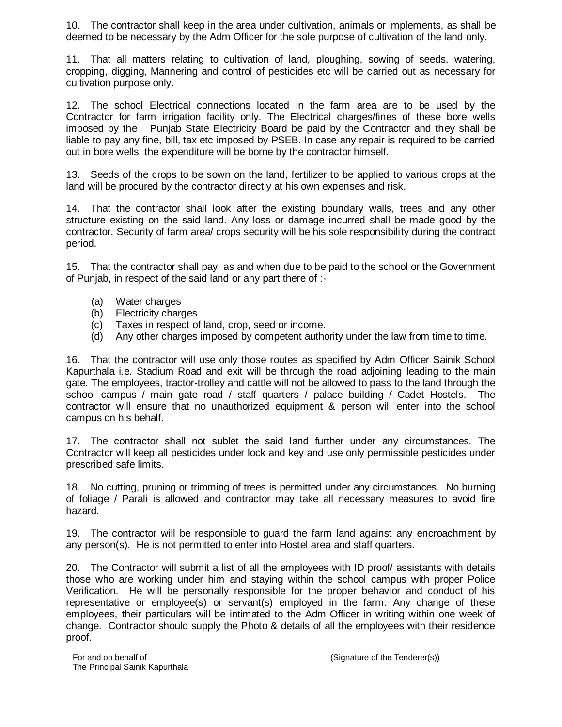10. The contractor shall keep in the area under cultivation, animals or implements, as shall be deemed to be necessary by the Adm Officer for the sole purpose of cultivation of the land only.

11. That all matters relating to cultivation of land, ploughing, sowing of seeds, watering, cropping, digging, Mannering and control of pesticides etc will be carried out as necessary for cultivation purpose only.

12. The school Electrical connections located in the farm area are to be used by the Contractor for farm irrigation facility only. The Electrical charges/fines of these bore wells imposed by the Punjab State Electricity Board be paid by the Contractor and they shall be liable to pay any fine, bill, tax etc imposed by PSEB. In case any repair is required to be carried out in bore wells, the expenditure will be borne by the contractor himself.

13. Seeds of the crops to be sown on the land, fertilizer to be applied to various crops at the land will be procured by the contractor directly at his own expenses and risk.

14. That the contractor shall look after the existing boundary walls, trees and any other structure existing on the said land. Any loss or damage incurred shall be made good by the contractor. Security of farm area/ crops security will be his sole responsibility during the contract period.

15. That the contractor shall pay, as and when due to be paid to the school or the Government of Punjab, in respect of the said land or any part there of :-

- (a) Water charges
- (b) Electricity charges
- (c) Taxes in respect of land, crop, seed or income.
- (d) Any other charges imposed by competent authority under the law from time to time.

16. That the contractor will use only those routes as specified by Adm Officer Sainik School Kapurthala i.e. Stadium Road and exit will be through the road adjoining leading to the main gate. The employees, tractor-trolley and cattle will not be allowed to pass to the land through the school campus / main gate road / staff quarters / palace building / Cadet Hostels. The contractor will ensure that no unauthorized equipment & person will enter into the school campus on his behalf.

17. The contractor shall not sublet the said land further under any circumstances. The Contractor will keep all pesticides under lock and key and use only permissible pesticides under prescribed safe limits.

18. No cutting, pruning or trimming of trees is permitted under any circumstances. No burning of foliage / Parali is allowed and contractor may take all necessary measures to avoid fire hazard.

19. The contractor will be responsible to guard the farm land against any encroachment by any person(s). He is not permitted to enter into Hostel area and staff quarters.

20. The Contractor will submit a list of all the employees with ID proof/ assistants with details those who are working under him and staying within the school campus with proper Police Verification. He will be personally responsible for the proper behavior and conduct of his representative or employee(s) or servant(s) employed in the farm. Any change of these employees, their particulars will be intimated to the Adm Officer in writing within one week of change. Contractor should supply the Photo & details of all the employees with their residence proof.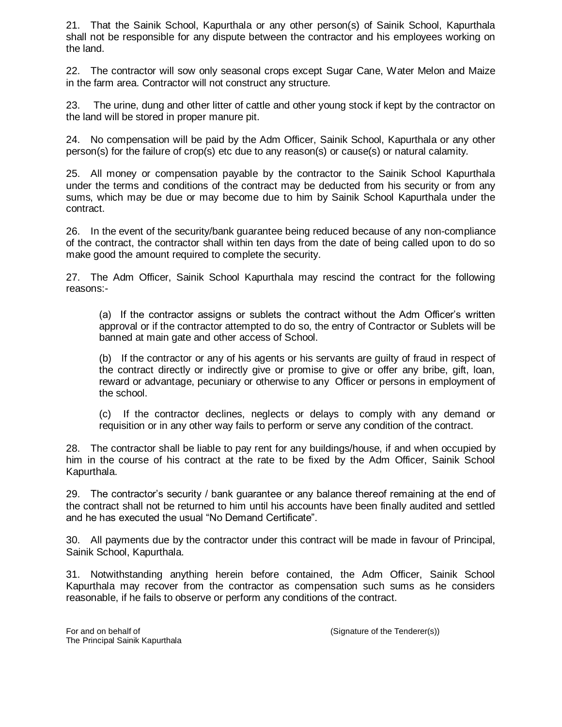21. That the Sainik School, Kapurthala or any other person(s) of Sainik School, Kapurthala shall not be responsible for any dispute between the contractor and his employees working on the land.

22. The contractor will sow only seasonal crops except Sugar Cane, Water Melon and Maize in the farm area. Contractor will not construct any structure.

23. The urine, dung and other litter of cattle and other young stock if kept by the contractor on the land will be stored in proper manure pit.

24. No compensation will be paid by the Adm Officer, Sainik School, Kapurthala or any other person(s) for the failure of crop(s) etc due to any reason(s) or cause(s) or natural calamity.

25. All money or compensation payable by the contractor to the Sainik School Kapurthala under the terms and conditions of the contract may be deducted from his security or from any sums, which may be due or may become due to him by Sainik School Kapurthala under the contract.

26. In the event of the security/bank guarantee being reduced because of any non-compliance of the contract, the contractor shall within ten days from the date of being called upon to do so make good the amount required to complete the security.

27. The Adm Officer, Sainik School Kapurthala may rescind the contract for the following reasons:-

(a) If the contractor assigns or sublets the contract without the Adm Officer's written approval or if the contractor attempted to do so, the entry of Contractor or Sublets will be banned at main gate and other access of School.

(b) If the contractor or any of his agents or his servants are guilty of fraud in respect of the contract directly or indirectly give or promise to give or offer any bribe, gift, loan, reward or advantage, pecuniary or otherwise to any Officer or persons in employment of the school.

(c) If the contractor declines, neglects or delays to comply with any demand or requisition or in any other way fails to perform or serve any condition of the contract.

28. The contractor shall be liable to pay rent for any buildings/house, if and when occupied by him in the course of his contract at the rate to be fixed by the Adm Officer, Sainik School Kapurthala.

29. The contractor's security / bank guarantee or any balance thereof remaining at the end of the contract shall not be returned to him until his accounts have been finally audited and settled and he has executed the usual "No Demand Certificate".

30. All payments due by the contractor under this contract will be made in favour of Principal, Sainik School, Kapurthala.

31. Notwithstanding anything herein before contained, the Adm Officer, Sainik School Kapurthala may recover from the contractor as compensation such sums as he considers reasonable, if he fails to observe or perform any conditions of the contract.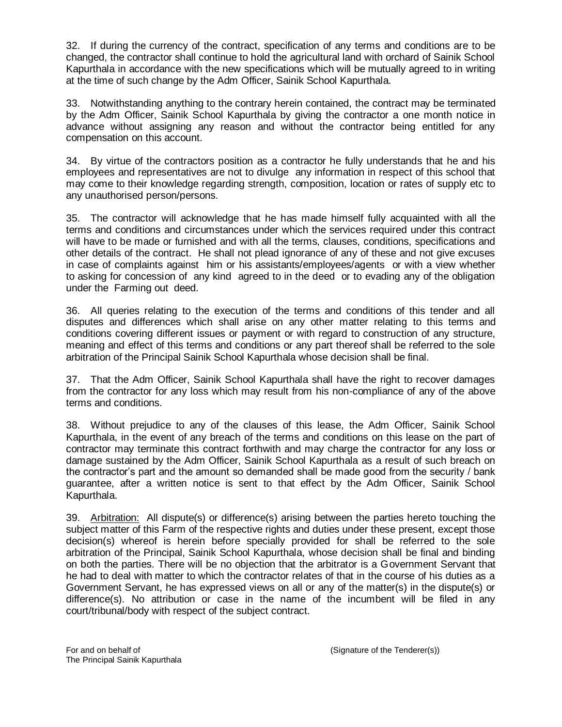32. If during the currency of the contract, specification of any terms and conditions are to be changed, the contractor shall continue to hold the agricultural land with orchard of Sainik School Kapurthala in accordance with the new specifications which will be mutually agreed to in writing at the time of such change by the Adm Officer, Sainik School Kapurthala.

33. Notwithstanding anything to the contrary herein contained, the contract may be terminated by the Adm Officer, Sainik School Kapurthala by giving the contractor a one month notice in advance without assigning any reason and without the contractor being entitled for any compensation on this account.

34. By virtue of the contractors position as a contractor he fully understands that he and his employees and representatives are not to divulge any information in respect of this school that may come to their knowledge regarding strength, composition, location or rates of supply etc to any unauthorised person/persons.

35. The contractor will acknowledge that he has made himself fully acquainted with all the terms and conditions and circumstances under which the services required under this contract will have to be made or furnished and with all the terms, clauses, conditions, specifications and other details of the contract. He shall not plead ignorance of any of these and not give excuses in case of complaints against him or his assistants/employees/agents or with a view whether to asking for concession of any kind agreed to in the deed or to evading any of the obligation under the Farming out deed.

36. All queries relating to the execution of the terms and conditions of this tender and all disputes and differences which shall arise on any other matter relating to this terms and conditions covering different issues or payment or with regard to construction of any structure, meaning and effect of this terms and conditions or any part thereof shall be referred to the sole arbitration of the Principal Sainik School Kapurthala whose decision shall be final.

37. That the Adm Officer, Sainik School Kapurthala shall have the right to recover damages from the contractor for any loss which may result from his non-compliance of any of the above terms and conditions.

38. Without prejudice to any of the clauses of this lease, the Adm Officer, Sainik School Kapurthala, in the event of any breach of the terms and conditions on this lease on the part of contractor may terminate this contract forthwith and may charge the contractor for any loss or damage sustained by the Adm Officer, Sainik School Kapurthala as a result of such breach on the contractor's part and the amount so demanded shall be made good from the security / bank guarantee, after a written notice is sent to that effect by the Adm Officer, Sainik School Kapurthala.

39. Arbitration: All dispute(s) or difference(s) arising between the parties hereto touching the subject matter of this Farm of the respective rights and duties under these present, except those decision(s) whereof is herein before specially provided for shall be referred to the sole arbitration of the Principal, Sainik School Kapurthala, whose decision shall be final and binding on both the parties. There will be no objection that the arbitrator is a Government Servant that he had to deal with matter to which the contractor relates of that in the course of his duties as a Government Servant, he has expressed views on all or any of the matter(s) in the dispute(s) or difference(s). No attribution or case in the name of the incumbent will be filed in any court/tribunal/body with respect of the subject contract.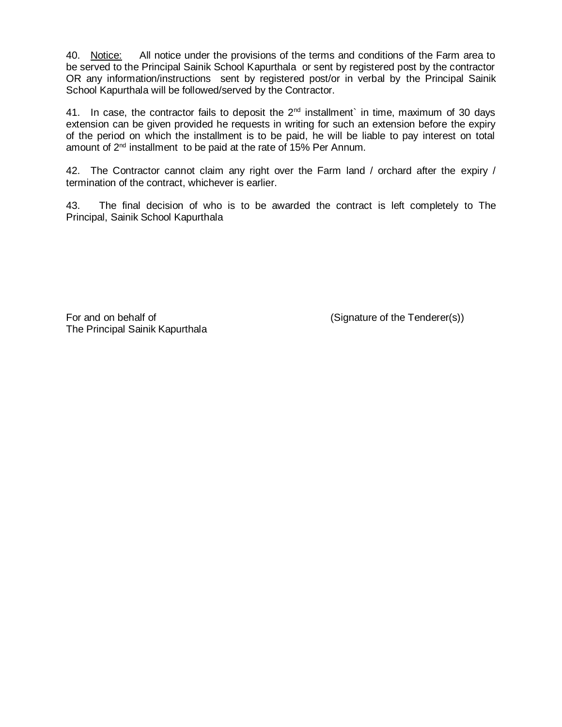40. Notice: All notice under the provisions of the terms and conditions of the Farm area to be served to the Principal Sainik School Kapurthala or sent by registered post by the contractor OR any information/instructions sent by registered post/or in verbal by the Principal Sainik School Kapurthala will be followed/served by the Contractor.

41. In case, the contractor fails to deposit the  $2<sup>nd</sup>$  installment` in time, maximum of 30 days extension can be given provided he requests in writing for such an extension before the expiry of the period on which the installment is to be paid, he will be liable to pay interest on total amount of 2<sup>nd</sup> installment to be paid at the rate of 15% Per Annum.

42. The Contractor cannot claim any right over the Farm land / orchard after the expiry / termination of the contract, whichever is earlier.

43. The final decision of who is to be awarded the contract is left completely to The Principal, Sainik School Kapurthala

For and on behalf of (Signature of the Tenderer(s)) The Principal Sainik Kapurthala